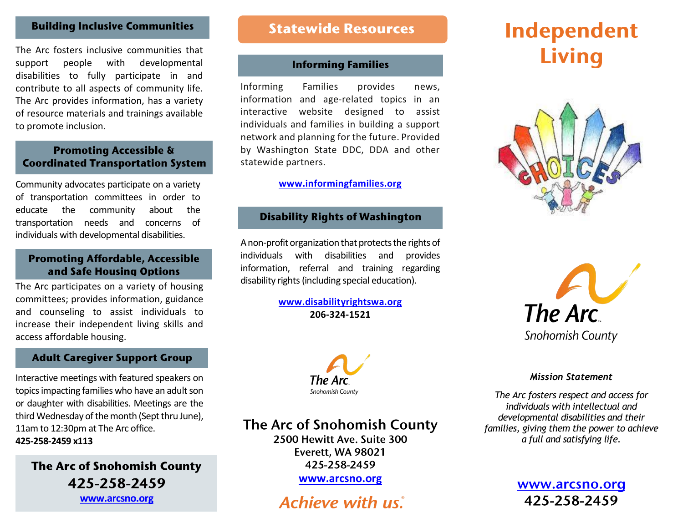# **Building Inclusive Communities**

The Arc fosters inclusive communities that support people with developmental disabilities to fully participate in and contribute to all aspects of community life. The Arc provides information, has a variety of resource materials and trainings available to promote inclusion.

# **Promoting Accessible & Coordinated Transportation System**

Community advocates participate on a variety of transportation committees in order to educate the community about the transportation needs and concerns of individuals with developmental disabilities.

# **Promoting Affordable, Accessible** and Safe Housing Options

The Arc participates on a variety of housing committees; provides information, guidance and counseling to assist individuals to increase their independent living skills and access affordable housing.

## **Adult Caregiver Support Group**

Interactive meetings with featured speakers on topics impacting families who have an adult son or daughter with disabilities. Meetings are the third Wednesday of the month (Sept thru June), 11am to 12:30pm at The Arc office. **425-258-2459 x113**

**The Arc of Snohomish County** 425-258-2459 **[www.arcsno.org](http://www.arcsno.org/)**

# **Statewide Resources**

## **Informing Families**

Informing Families provides news, information and age-related topics in an interactive website designed to assist individuals and families in building a support network and planning for the future. Provided by Washington State DDC, DDA and other statewide partners.

### **[www.informingfamilies.org](http://www.informingfamilies.org/)**

### **Disability Rights of Washington**

A non-profit organization that protects the rights of individuals with disabilities and provides information, referral and training regarding disability rights (including special education).

> **[www.disabilityrightswa.org](http://www.disabilityrightswa.org/) 206-324-1521**







### *Mission Statement*

*The Arc fosters respect and access for individuals with intellectual and developmental disabilities and their families, giving them the power to achieve a full and satisfying life.*

> www.arcsno.org 425-258-2459



The Arc of Snohomish County

2500 Hewitt Ave. Suite 300 Everett. WA 98021 425-258-2459

**[www.arcsno.org](http://www.arcsno.org/)**

# **Achieve with us.**